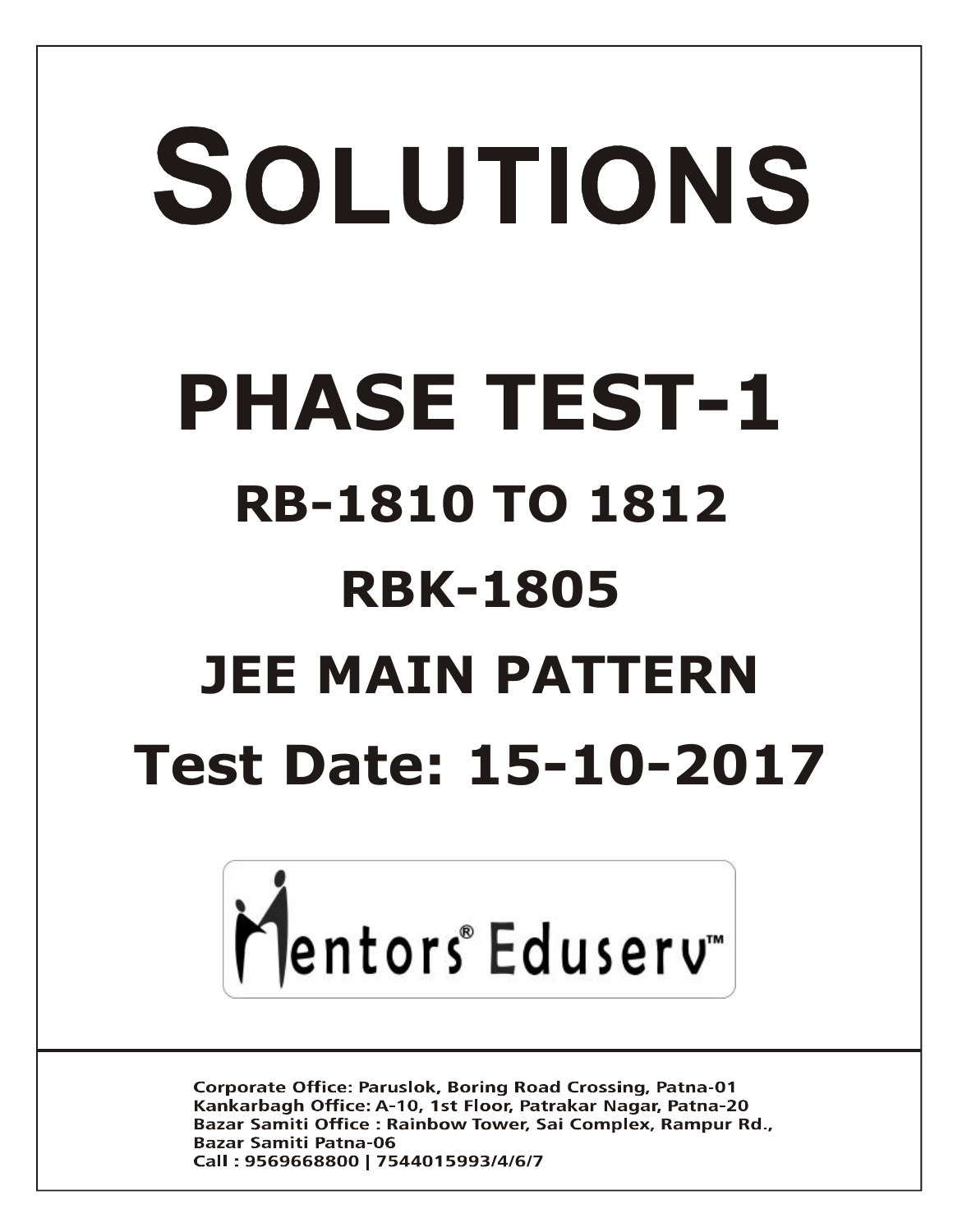# SOLUTIONS **PHASE TEST-1 RB-1810 TO 1812 RBK-1805 JEE MAIN PATTERN Test Date: 15-10-2017**



**Corporate Office: Paruslok, Boring Road Crossing, Patna-01** Kankarbagh Office: A-10, 1st Floor, Patrakar Nagar, Patna-20 Bazar Samiti Office: Rainbow Tower, Sai Complex, Rampur Rd., **Bazar Samiti Patna-06** Call: 9569668800 | 7544015993/4/6/7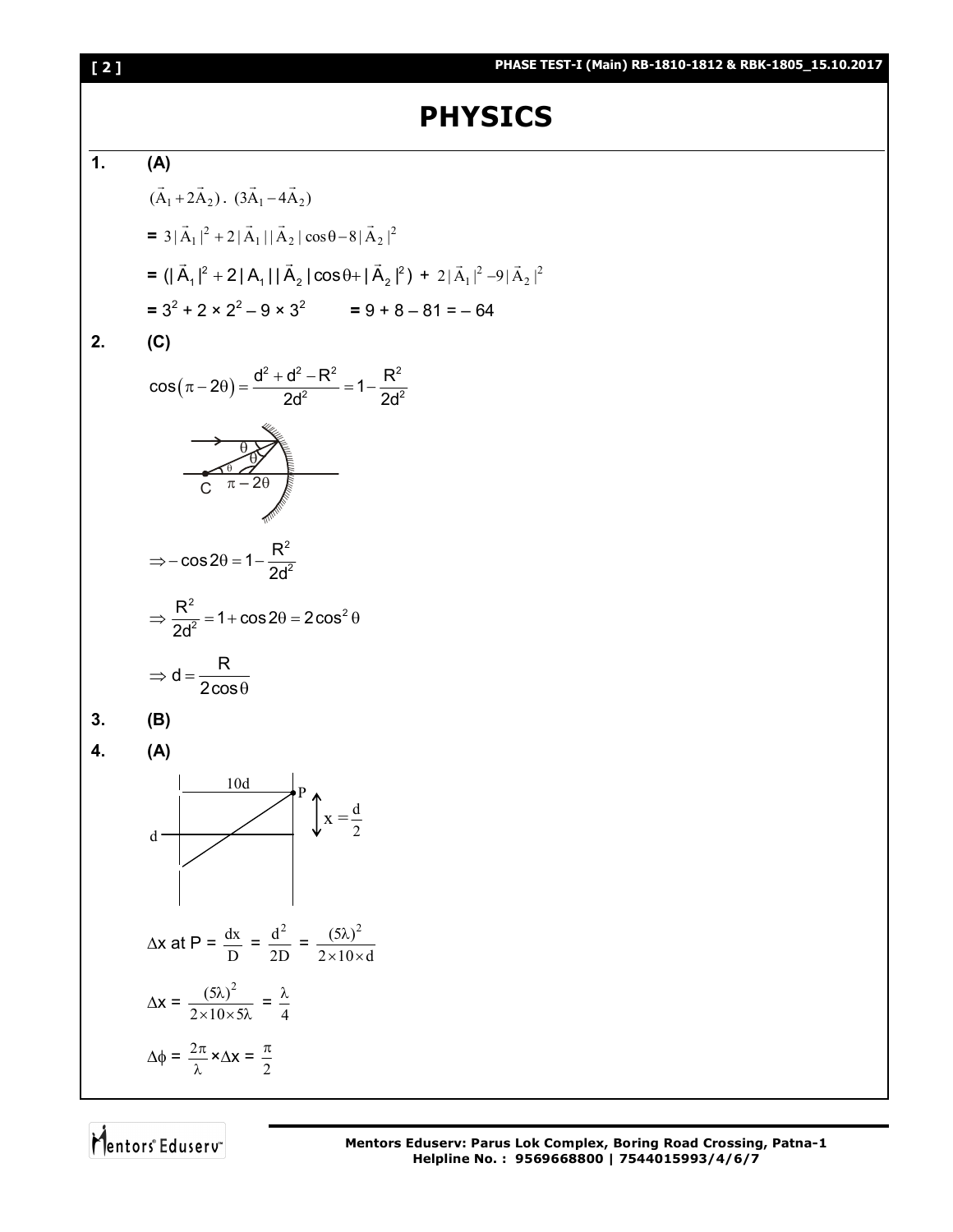

Mentors<sup>e</sup> Eduserv<sup>®</sup>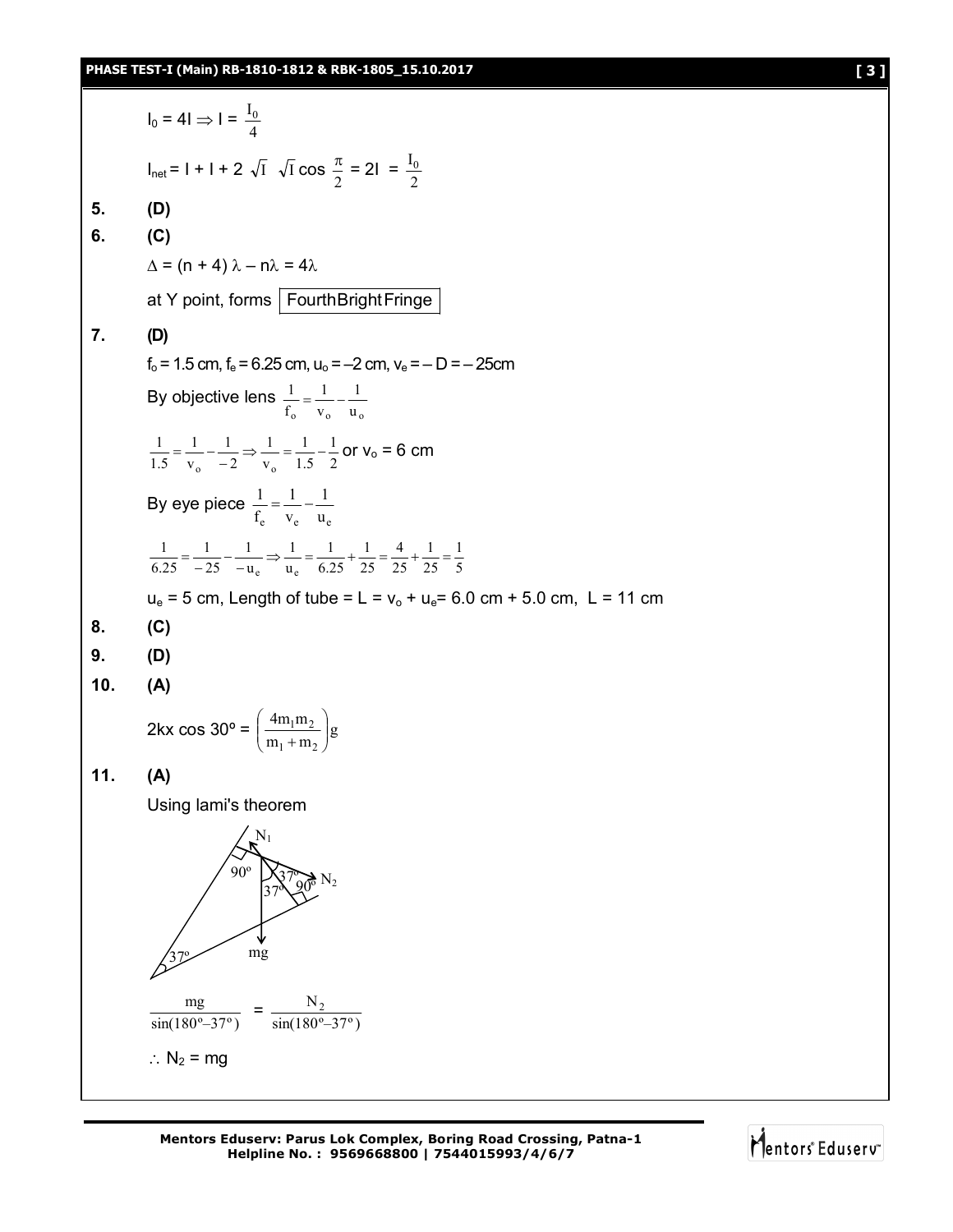$I_0 = 4I \Rightarrow I = \frac{I_0}{4}$  $I_0$  $I_{\text{net}} = I + I + 2 \sqrt{I} \sqrt{I} \cos \frac{\pi}{2}$  $\frac{\pi}{2}$  = 2I =  $\frac{I_0}{2}$  $I_0$ **5. (D) 6. (C)**  $\Delta$  = (n + 4)  $\lambda$  – n $\lambda$  = 4 $\lambda$ at Y point, forms FourthBrightFringe **7. (D)**   $f_0 = 1.5$  cm,  $f_e = 6.25$  cm,  $u_0 = -2$  cm,  $v_e = -D = -25$ cm By objective lens  $V_0$   $V_0$   $u_0$ 1 v 1 f  $\frac{1}{2} = \frac{1}{2}$ 2 1 1.5 1 v 1 2 1 v 1 1.5 1  $_0$   $\sim$   $\sim$   $\sim$   $_0$  $v_0 = \frac{1}{v_0} - \frac{1}{-2}$   $\Rightarrow \frac{1}{v_0} = \frac{1}{1.5} - \frac{1}{2}$  or  $v_0 = 6$  cm By eye piece .<br>e v<sub>e</sub> u<sub>e</sub> 1 v 1 f  $\frac{1}{2} = \frac{1}{2}$ 5 1 25 1 25 4 25 1 6.25 1 u 1 u 1 25 1 6.25 1 e e  $=\frac{1}{-25} - \frac{1}{-u_e}$   $\Rightarrow \frac{1}{u_e} = \frac{1}{6.25} + \frac{1}{25} = \frac{1}{25} + \frac{1}{25} =$  $u_e = 5$  cm, Length of tube = L =  $v_o + u_e = 6.0$  cm + 5.0 cm, L = 11 cm **8. (C) 9. (D) 10. (A)** 2kx cos 30° =  $\left(\frac{4m_1m_2}{m_1+m_2}\right)g$  $4m_1m$  $1 + m_2$  $\frac{1^{\mathrm{III}}2}{+ \mathrm{m}}$ J  $\mathcal{L}$  $\overline{\phantom{a}}$  $\overline{\phantom{0}}$ ſ  $^{+}$ **11. (A)** Using lami's theorem sin(180º–37º)  $\frac{mg}{80^\circ - 37^\circ}$  =  $\frac{N_2}{\sin(180^\circ - 37^\circ)}$  $\mathrm{N}_2$  $\therefore$  N<sub>2</sub> = mg  $37$   $\frac{1}{20}$   $N_2$ 37º 90º mg  $\mathrm{N}_1$ 37º

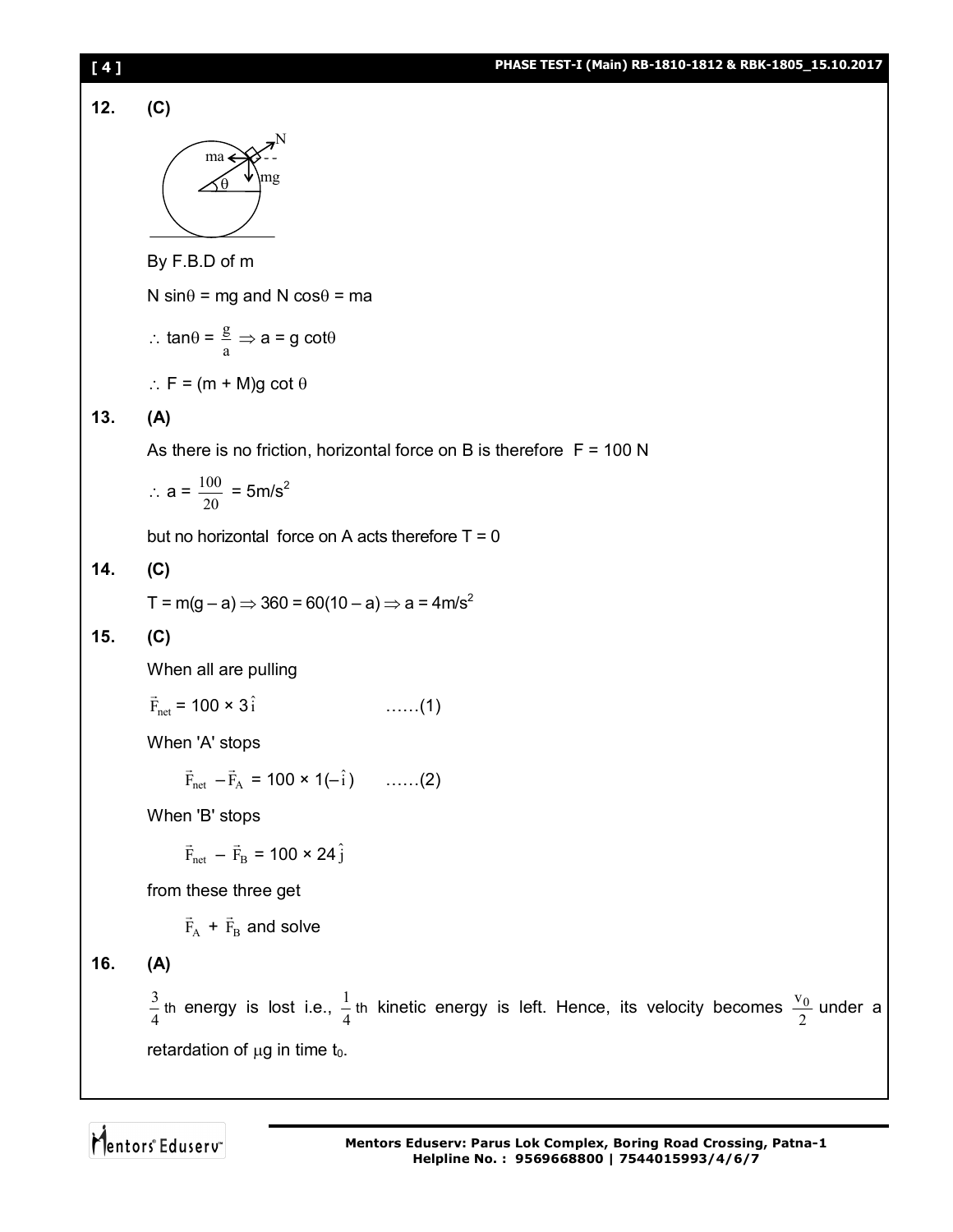PIASE TESTI (Main) RE-1810-1812 & RRK-1805\_115,10,2017\n\n
$$
\begin{array}{r}\n\hline\n\text{ma} \\
\hline\n\text{M} \\
\hline\n\text{M} \\
\hline\n\end{array}
$$
\n\nBy F.B.D of m\n\nN sinθ = mg and N cosθ = ma\n\n
$$
\therefore \tan 0 = \frac{g}{a} \Rightarrow a = g \cot 0
$$
\n\n
$$
\therefore F = (m + M)g \cot 0
$$
\n\nAs there is no friction, horizontal force on B is therefore F = 100 N\n\n
$$
\therefore a = \frac{100}{20} = 5 \text{m/s}^2
$$
\n\nbut no horizontal force on A acts therefore T = 0\n\n14. (C)\n\nT = m(g-a) \Rightarrow 360 = 60(10-a) \Rightarrow a = 4 \text{m/s}^2\n\n15. (C)\n\nWhen all are pulling\n
$$
\vec{r}_{net} = 100 \times 3\hat{i}
$$
\n\nWhen 'A' stops\n
$$
\vec{r}_{int} = 7\hat{r}_x = 100 \times 1(-\hat{i})
$$
\n\n
$$
\text{When 'B' stops}\n\vec{F}_{int} = \vec{r}_b = 100 \times 24\hat{j}
$$
\n\nfrom these three get\n\n
$$
\vec{F}_x + \vec{r}_a \text{ and solve}
$$
\n\n16. (A)\n\n
$$
\frac{3}{4} \text{ in energy is lost i.e., } \frac{1}{4} \text{ th kinetic energy is left. Hence, its velocity becomes } \frac{v_0}{2} \text{ under a retardation of }\mu\text{g in time } t_0.
$$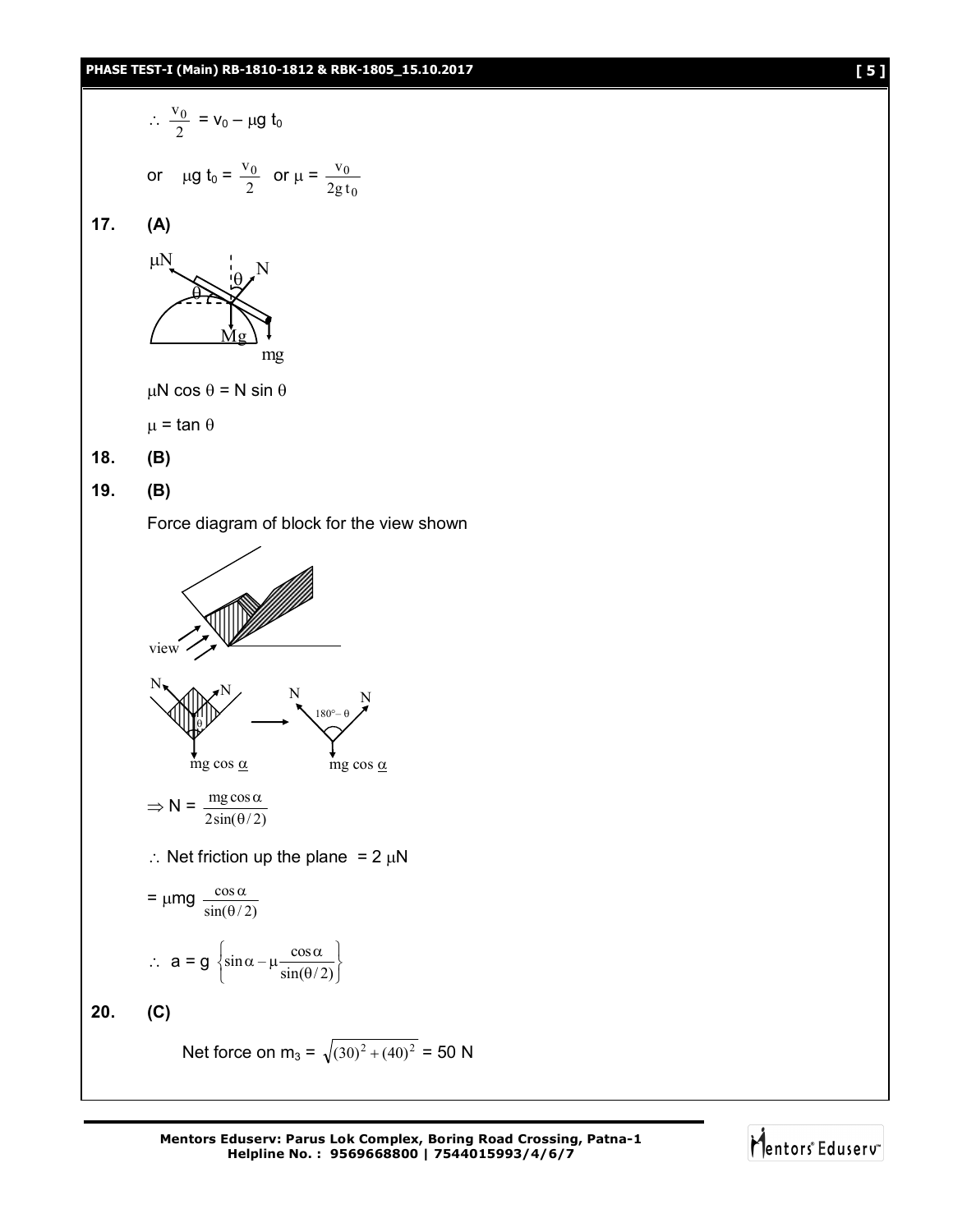$$
\therefore \frac{v_0}{2} = v_0 - \mu g t_0
$$
  
or  $\mu g t_0 = \frac{v_0}{2}$  or  $\mu = \frac{v_0}{2gt_0}$   
**17.** (A)



 $\mu$ N cos  $\theta$  = N sin  $\theta$ 

 $\mu$  = tan  $\theta$ 

**18. (B)**

**19. (B)**

Force diagram of block for the view shown

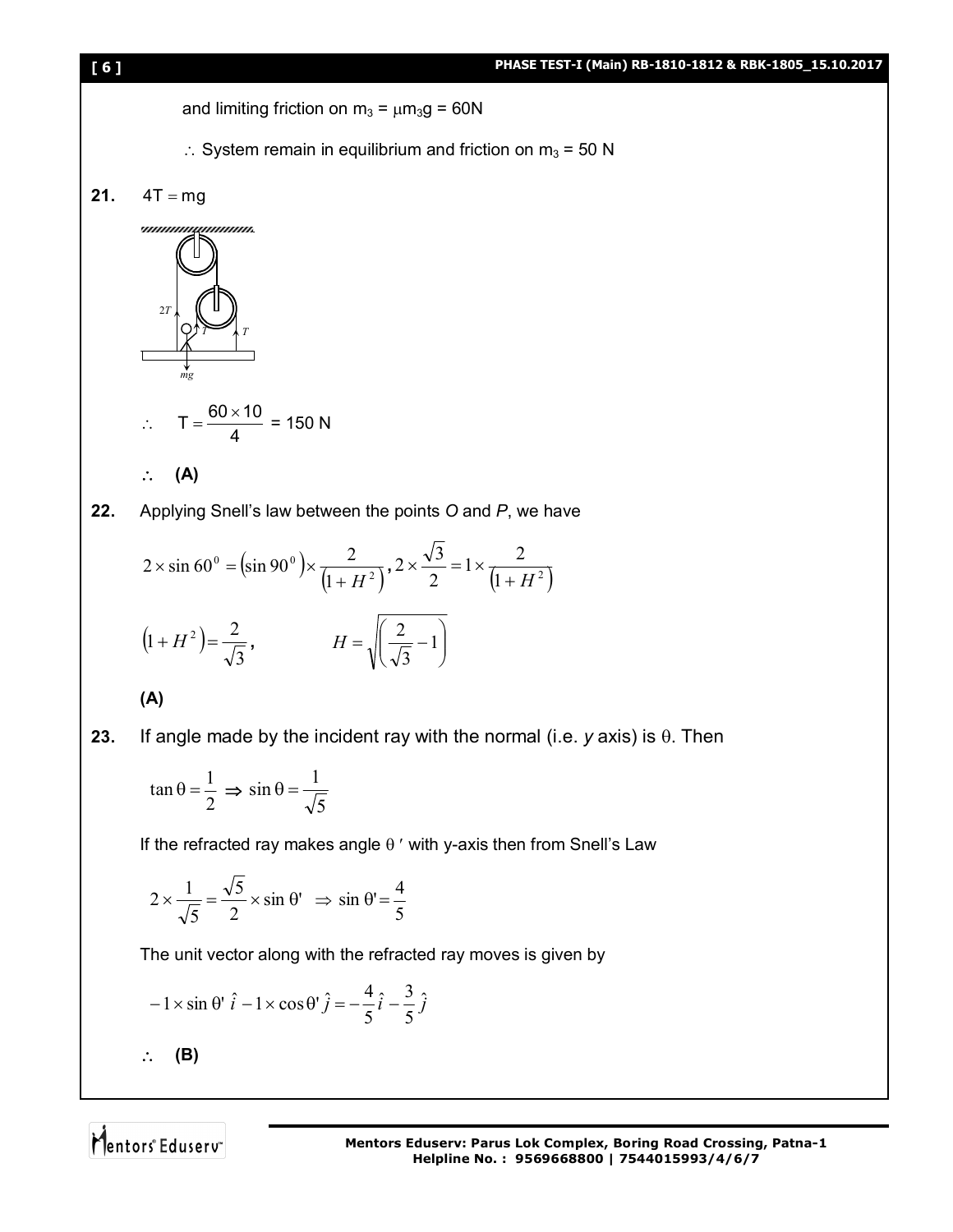and limiting friction on  $m_3 = \mu m_3 g = 60N$ 

- $\therefore$  System remain in equilibrium and friction on m<sub>3</sub> = 50 N
- **21.**  $4T = mg$

*unnonqommon* 2*T*  $T \rightarrow T$ *mg*  $T = \frac{60 \times 10}{4}$  $=\frac{60\times10}{4}$  = 150 N  $\ddot{\cdot}$ 4 **(A)**

**22.** Applying Snell's law between the points *O* and *P*, we have

$$
2 \times \sin 60^\circ = (\sin 90^\circ) \times \frac{2}{(1+H^2)}, 2 \times \frac{\sqrt{3}}{2} = 1 \times \frac{2}{(1+H^2)}
$$

$$
(1+H^2) = \frac{2}{\sqrt{3}}, \qquad H = \sqrt{\left(\frac{2}{\sqrt{3}}-1\right)}
$$

**(A)**

**23.** If angle made by the incident ray with the normal (i.e.  $y$  axis) is  $\theta$ . Then

$$
\tan \theta = \frac{1}{2} \implies \sin \theta = \frac{1}{\sqrt{5}}
$$

If the refracted ray makes angle  $\theta$  ' with y-axis then from Snell's Law

$$
2 \times \frac{1}{\sqrt{5}} = \frac{\sqrt{5}}{2} \times \sin \theta' \implies \sin \theta' = \frac{4}{5}
$$

The unit vector along with the refracted ray moves is given by

$$
-1 \times \sin \theta \quad \hat{i} - 1 \times \cos \theta \quad \hat{j} = -\frac{4}{5} \hat{i} - \frac{3}{5} \hat{j}
$$

 $\therefore$  (B)

Mentors<sup>e</sup> Eduserv<sup>®</sup>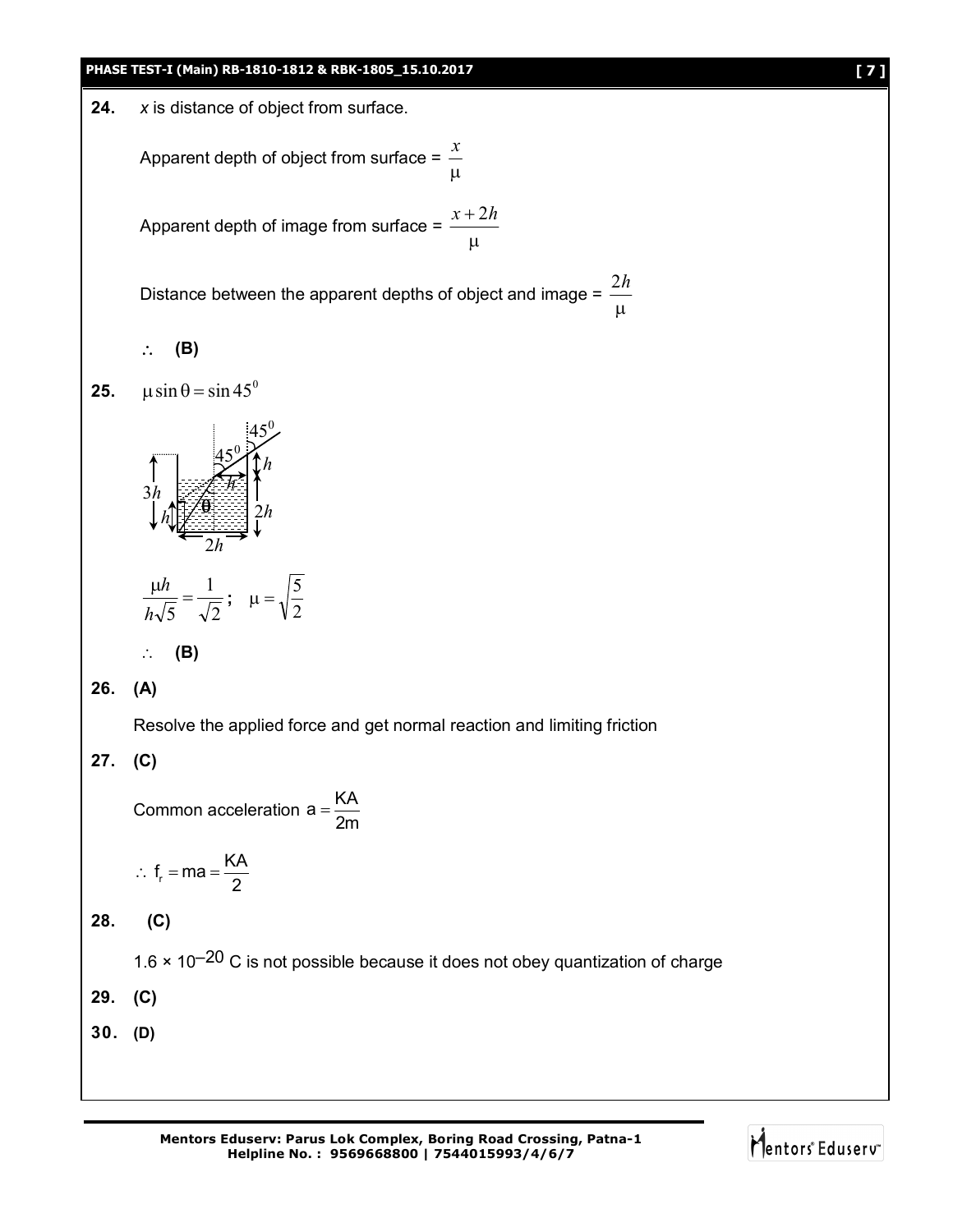### **PHASE TEST-I (Main) RB-1810-1812 & RBK-1805\_15.10.2017 [ 7 ]**

24. 
$$
x
$$
 is distance of object from surface.

Apparent depth of object from surface = μ *x*

Apparent depth of image from surface = μ  $x + 2h$ 

Distance between the apparent depths of object and image =  $\mu$ 2*h*

**(B)**

**25.**  $\mu$  sin  $\theta$  = sin 45<sup>0</sup>



$$
\therefore (B)
$$

# **26. (A)**

Resolve the applied force and get normal reaction and limiting friction

# **27. (C)**

Common acceleration  $a = \frac{KA}{2}$ 2m  $=$ 

$$
\therefore f_r = ma = \frac{KA}{2}
$$

**28. (C)**

 $1.6 \times 10^{-20}$  C is not possible because it does not obey quantization of charge

**29. (C)**

**30. (D)**

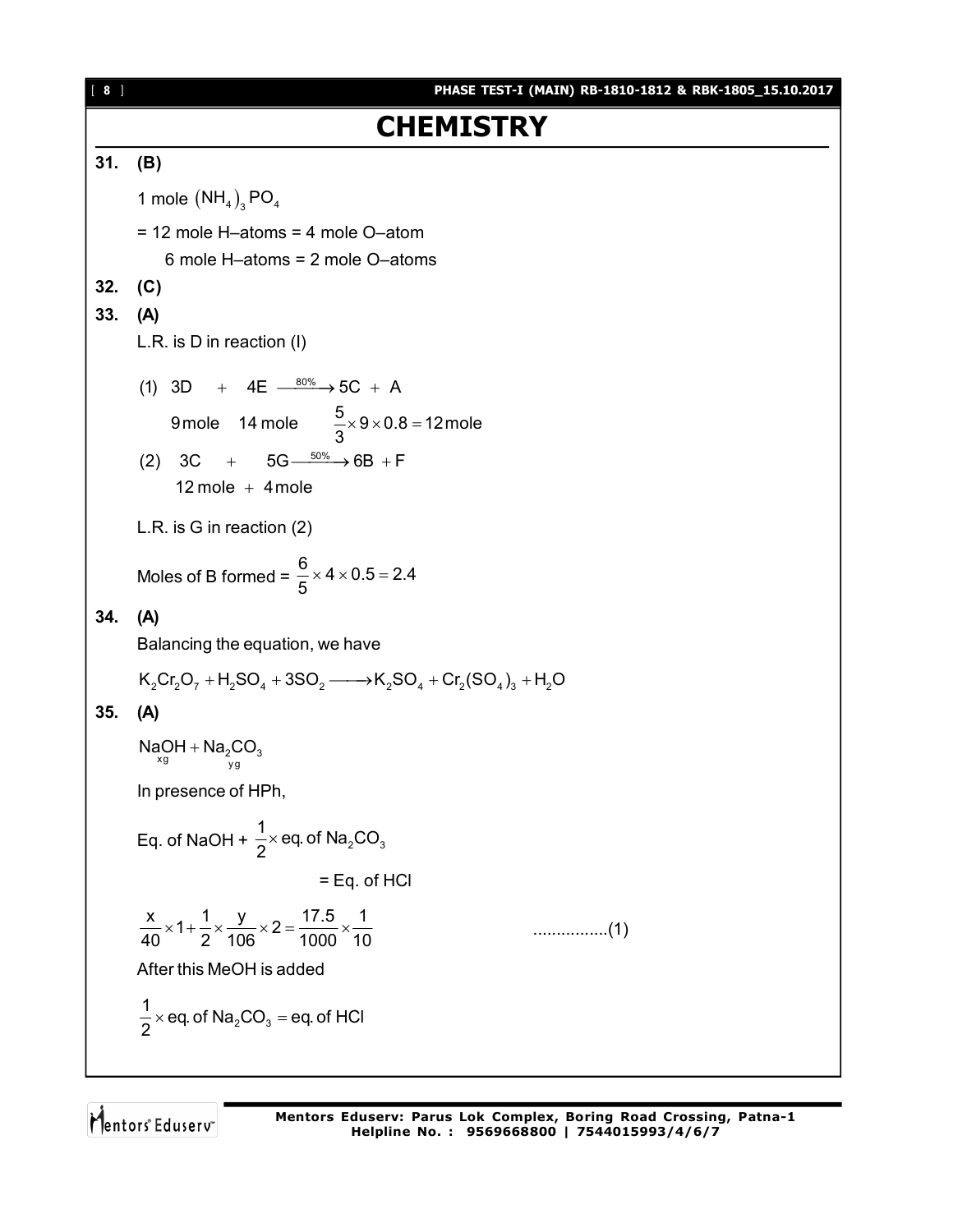[ **8** ] **PHASE TEST-I (MAIN) RB-1810-1812 & RBK-1805\_15.10.2017 CHEMISTRY 31. (B)** 1 mole  $(NH_4)_{3}$  PO<sub>4</sub> = 12 mole H–atoms = 4 mole O–atom 6 mole H–atoms = 2 mole O–atoms **32. (C) 33. (A)** L.R. is D in reaction (I) (1) 3D + 4E  $\frac{80\%}{1000}$  + 5C + A (2) 3C + 5G $\xrightarrow{50\%}$  6B + F 9 mole  $14$  mole  $\frac{5}{6} \times 9 \times 0.8 = 12$  mole 3  $12$  mole  $+$  4 mole  $\times$  9  $\times$  0.8  $=$   $\sim$ L.R. is G in reaction (2) Moles of B formed =  $\frac{6}{5}$  × 4 × 0.5 = 2.4 5  $\times$  4  $\times$  0.5 = 2 **34. (A)** Balancing the equation, we have  $K_2Cr_2O_7 + H_2SO_4 + 3SO_2 \longrightarrow K_2SO_4 + Cr_2(SO_4)_3 + H_2O$ **35. (A)**  $\frac{200}{x}$   $\frac{1}{y}$   $\frac{1}{y}$   $\frac{200}{y}$  $\mathsf{NaOH} + \mathsf{Na}_2\mathsf{CO}$ In presence of HPh, Eq. of NaOH +  $\frac{1}{2} \times$  eq. of Na<sub>2</sub>CO<sub>3</sub>  $\frac{1}{2}$  × eq. of Na<sub>2</sub>CO 2  $\times$ = Eq. of HCl  $\frac{x}{10} \times 1 + \frac{1}{2} \times \frac{y}{100} \times 2 = \frac{17.5}{1000} \times \frac{1}{10}$ 40 2 106 1000 10 ................(1) After this MeOH is added  $2^{\mathcal{O} \mathcal{O}_3}$  $\frac{1}{6}$  × eq. of Na<sub>2</sub>CO<sub>3</sub> = eq. of HCl 2  $\times$  eq. of Na<sub>2</sub>CO<sub>3</sub> = 6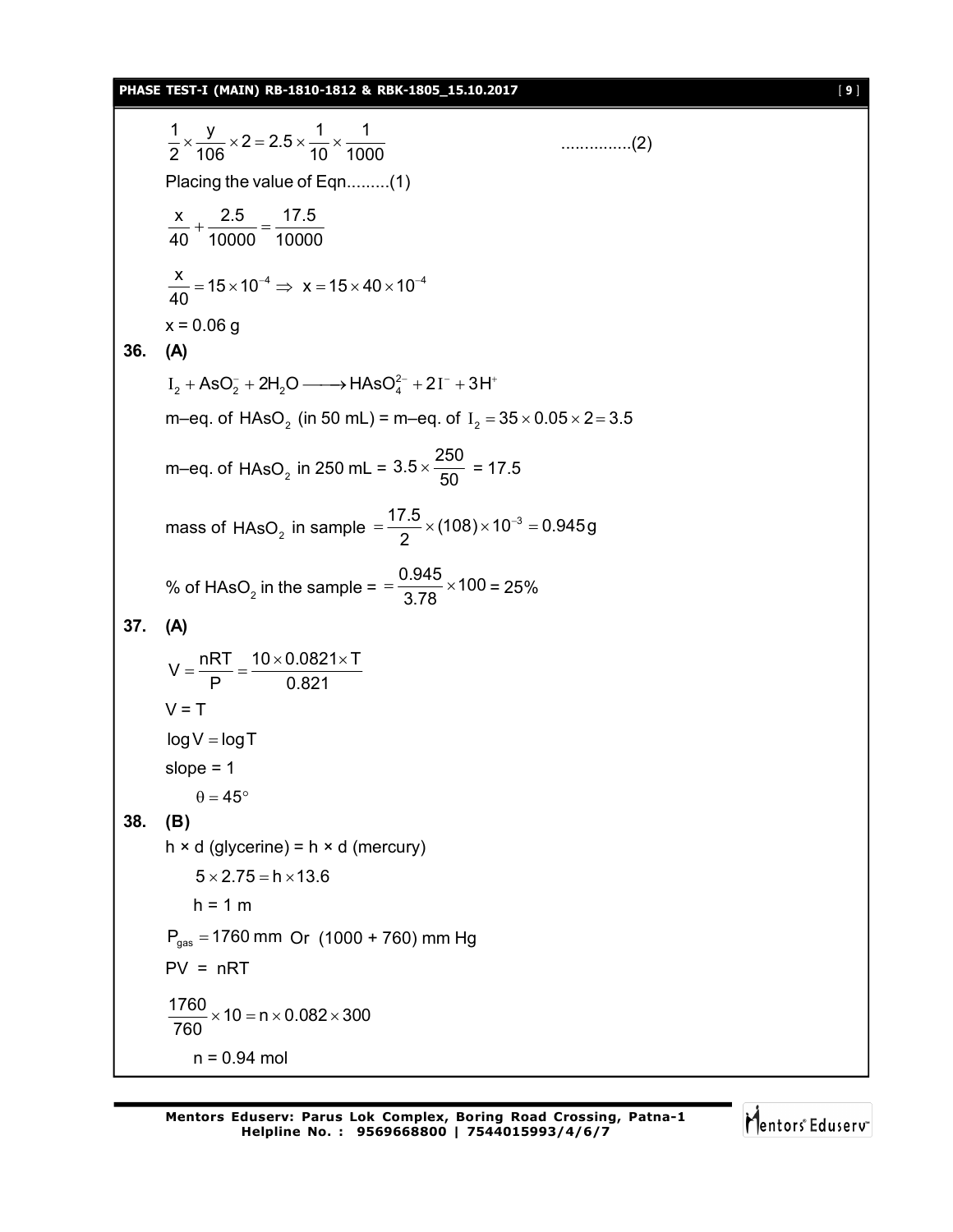#### **PHASE TEST-I (MAIN) RB-1810-1812 & RBK-1805\_15.10.2017** [ **9** ]

 $\frac{1}{2} \times \frac{y}{122} \times 2 = 2.5 \times \frac{1}{12} \times \frac{1}{122}$  $\frac{1}{2} \times \frac{3}{106} \times 2 = 2.5 \times \frac{1}{10} \times \frac{1}{1000}$  (2) Placing the value of Eqn.........(1) x 2.5 17.5 40 10000 10000  $+\frac{200}{10000}$  = - $\frac{x}{40}$  = 15 × 10<sup>-4</sup>  $\Rightarrow$  x = 15 × 40 × 10<sup>-4</sup> 40  $=$  15  $\times$  10<sup>-4</sup>  $\Rightarrow$   $x = 15 \times 40 \times 10^{-4}$  $x = 0.06$  g **36. (A)**  $I_2 + ASO_2^- + 2H_2O \longrightarrow HAsO_4^{2-} + 2I^- + 3H^+$ m–eq. of  ${\rm HASO}_{\rm_2}$  (in 50 mL) = m–eq. of  $\rm~I_{\rm_2}$  = 35  $\times$  0.05  $\times$  2 = 3.5 m–eq. of  $HASO<sub>2</sub>$  in 250 mL = 3.5  $\times\frac{250}{50}$  $\times \frac{288}{50} = 17.5$ mass of HAsO<sub>2</sub> in sample  $=\frac{17.5}{2} \times (108) \times 10^{-3} = 0.945$ g 2  $=\frac{17.5}{8} \times (108) \times 10^{-3} = 0$ % of HAsO<sub>2</sub> in the sample =  $=$   $\frac{0.945}{3.78}$   $\times$  100  $=\frac{3.88}{3.78} \times 100 = 25\%$ **37. (A)**  $V = \frac{nRT}{R} = \frac{10 \times 0.0821 \times T}{0.001}$ P 0.821  $=\frac{nRT}{R}=\frac{10\times0.0821\times1}{0.004}$  $V = T$  $log V = log T$ slope  $= 1$  $\theta = 45^{\circ}$ **38. (B)**  $h \times d$  (glycerine) =  $h \times d$  (mercury)  $5 \times 2.75 = h \times 13.6$  $h = 1 m$  $P_{gas}$  = 1760 mm Or (1000 + 760) mm Hg  $PV = nRT$  $\frac{1760}{720}$  × 10 = n × 0.082 × 300 760  $\times$  10 = n  $\times$  0.082  $\times$  3 n = 0.94 mol

Mentors Eduserv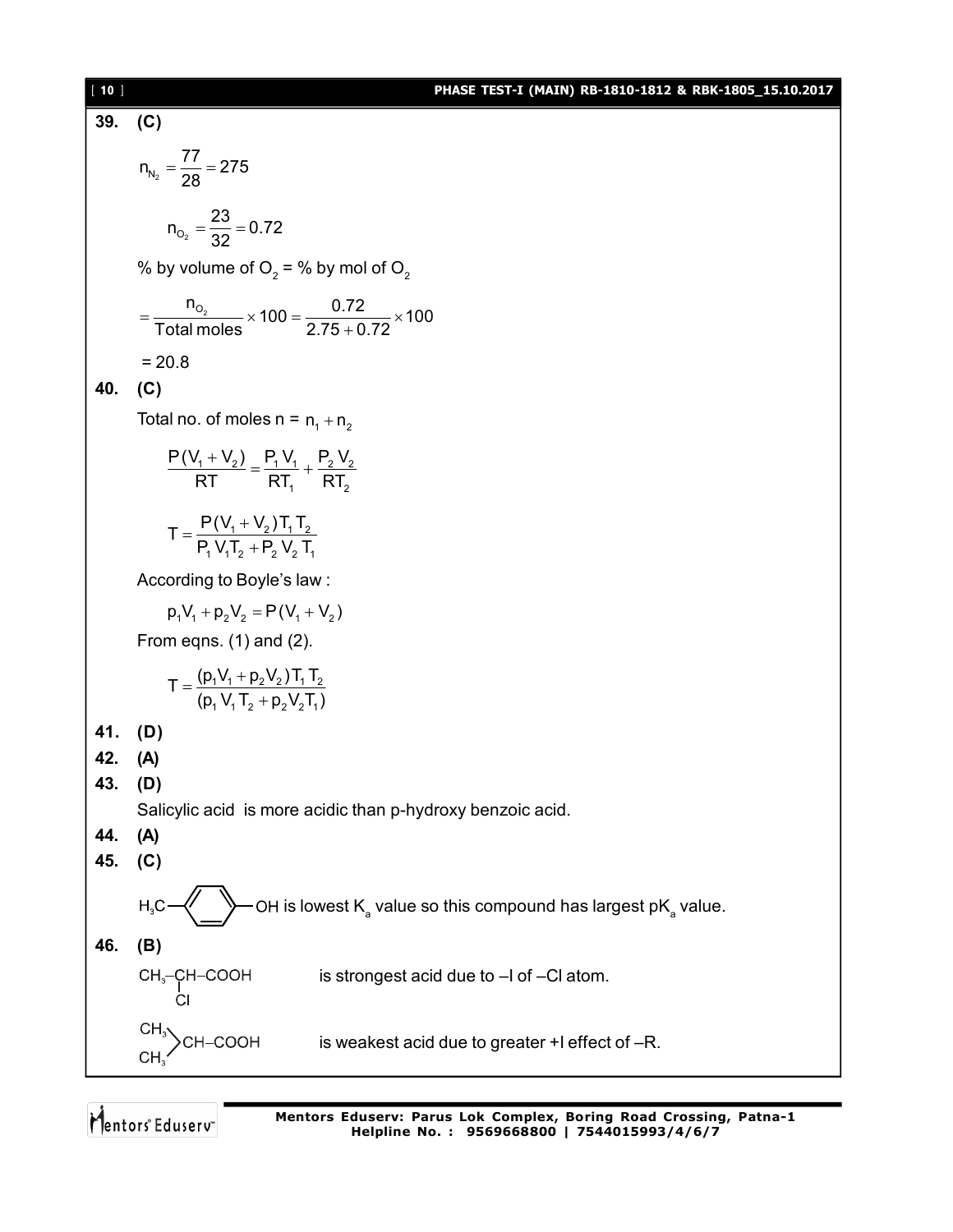# [ **10** ] **PHASE TEST-I (MAIN) RB-1810-1812 & RBK-1805\_15.10.2017**

39. (C)  
\n
$$
n_{N_{b_2}} = \frac{77}{28} = 275
$$
\n
$$
n_{O_2} = \frac{23}{32} = 0.72
$$
\n
$$
96 \text{ by volume of } O_2 = 96 \text{ by mol of } O_2
$$
\n
$$
= \frac{n_{O_2}}{\text{Total moles}} \times 100 = \frac{0.72}{2.75 + 0.72} \times 100
$$
\n
$$
= 20.8
$$
\n40. (C)  
\nTotal no. of moles n = n<sub>1</sub> + n<sub>2</sub>  
\n
$$
\frac{P(V_1 + V_2)}{RT} = \frac{P_1 V_1}{RT_1} + \frac{P_2 V_2}{RT_2}
$$
\n
$$
T = \frac{P(V_1 + V_2) T_1 T_2}{P_1 V_1 T_2 + P_2 V_2 T_1}
$$
\nAccording to Boyle's law:  
\n
$$
p_1 V_1 + p_2 V_2 = P(V_1 + V_2)
$$
\nFrom eqns. (1) and (2).  
\n
$$
T = \frac{(p_1 V_1 + p_2 V_2) T_1 T_2}{(p_1 V_1 T_2 + p_2 V_2 T_1)}
$$
\n41. (D)  
\n42. (A)  
\n43. (D)  
\nSalicyclic acid is more acidic than p-hydroxy benzoi c acid.  
\n44. (A)  
\n45. (C)  
\nH<sub>1</sub>C  
\n
$$
H_2C
$$
\n
$$
P = \frac{(p_1 P_1 + p_2 P_2 T_1)}{(p_1 V_1 T_2 + p_2 V_2 T_1)}
$$
\n64. (B)  
\nSalicyclic acid is more acidic than p-hydroxy benzoi c acid.  
\n46. (B)  
\n
$$
CH_2-CH-COOH
$$
 is strongest acid due to -1 of -Cl atom.  
\n
$$
CH_3>CH-COOH
$$
 is weakest acid due to greater + 1 effect of -R.  
\n
$$
CH_3CH-COOH
$$
 is weakest acid due to greater + 1 effect of -R.

Mentors<sup>e</sup> Eduserv<sup>-</sup>

**Mentors Eduserv: Parus Lok Complex, Boring Road Crossing, Patna-1 Helpline No. : 9569668800 | 7544015993/4/6/7**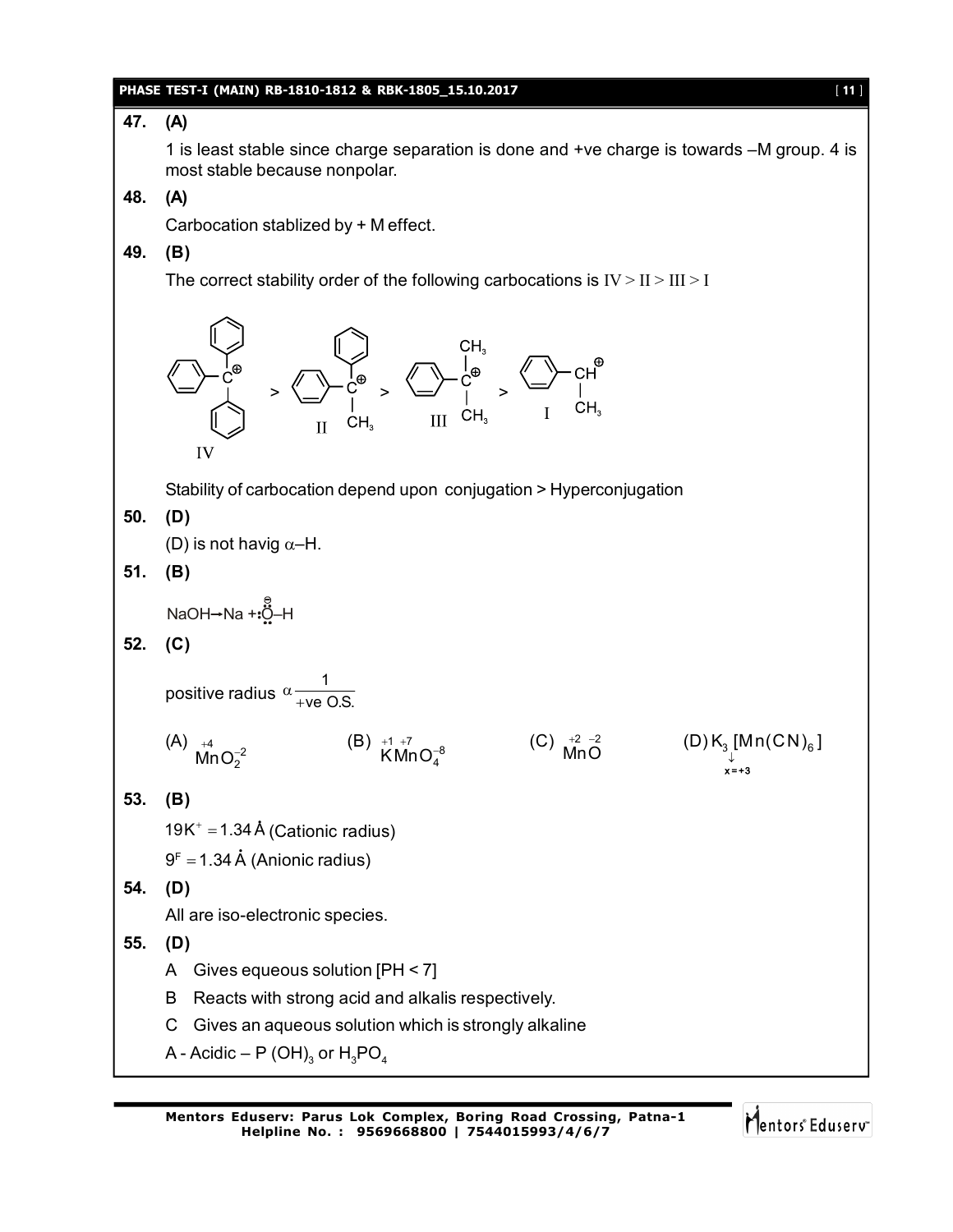#### **PHASE TEST-I (MAIN) RB-1810-1812 & RBK-1805\_15.10.2017** [ **11** ]

# **47. (A)**

1 is least stable since charge separation is done and +ve charge is towards –M group. 4 is most stable because nonpolar.

## **48. (A)**

Carbocation stablized by + M effect.

# **49. (B)**

The correct stability order of the following carbocations is  $IV > II > III > I$ 



A - Acidic – P (OH) $_{\rm 3}$  or  ${\rm H}_{\rm 3}$ PO $_{\rm 4}$ 

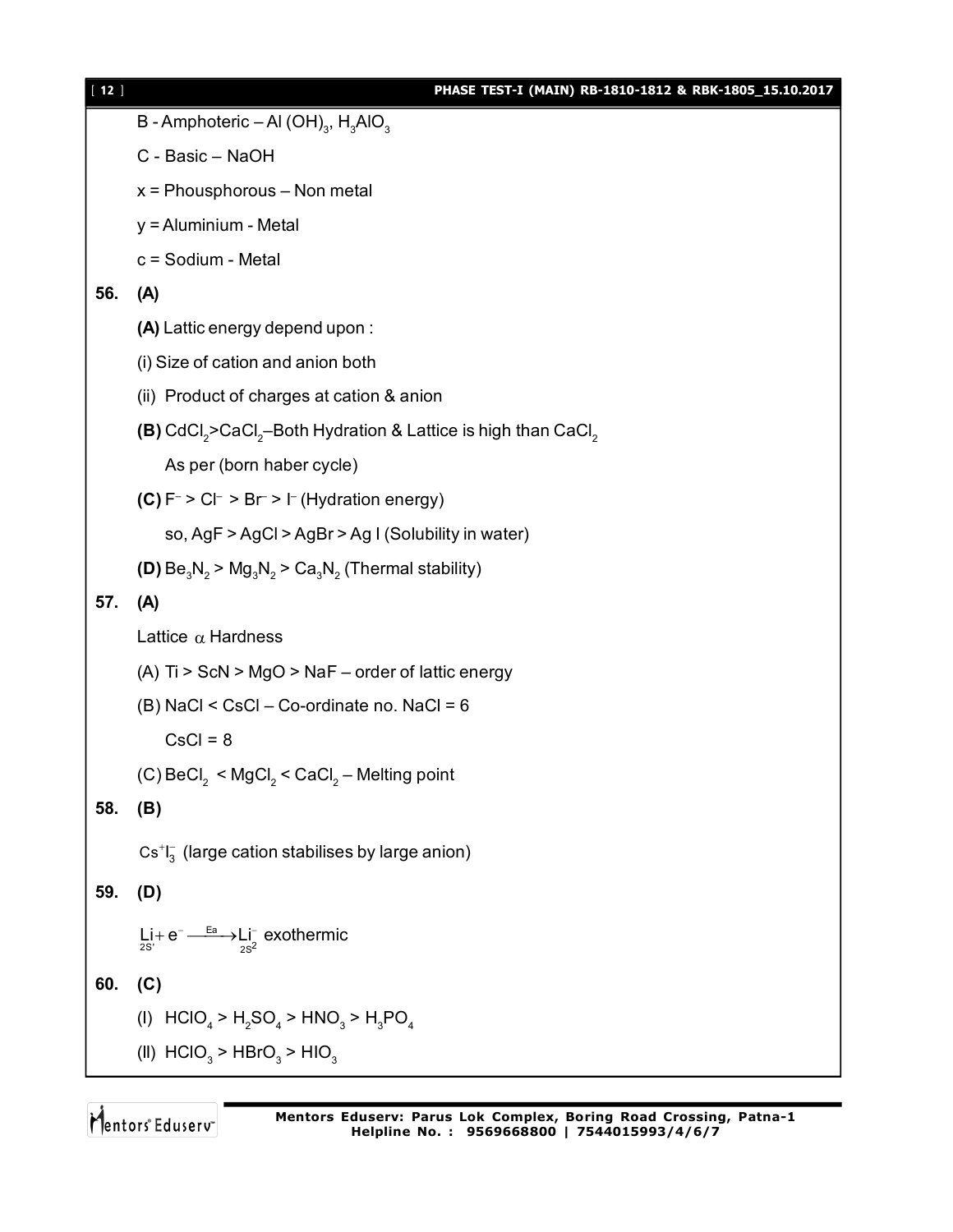| $[12]$ | PHASE TEST-I (MAIN) RB-1810-1812 & RBK-1805_15.10.2017                                            |
|--------|---------------------------------------------------------------------------------------------------|
|        | B - Amphoteric – Al (OH) <sub>3</sub> , H <sub>3</sub> AlO <sub>3</sub>                           |
|        | C - Basic - NaOH                                                                                  |
|        | $x =$ Phousphorous - Non metal                                                                    |
|        | y = Aluminium - Metal                                                                             |
|        | c = Sodium - Metal                                                                                |
| 56.    | (A)                                                                                               |
|        | (A) Lattic energy depend upon:                                                                    |
|        | (i) Size of cation and anion both                                                                 |
|        | (ii) Product of charges at cation & anion                                                         |
|        | (B) CdCl <sub>2</sub> >CaCl <sub>2</sub> -Both Hydration & Lattice is high than CaCl <sub>2</sub> |
|        | As per (born haber cycle)                                                                         |
|        | (C) $F^{-}$ > C $\vdash$ > B $r$ > $\vdash$ (Hydration energy)                                    |
|        | so, AgF > AgCl > AgBr > Ag I (Solubility in water)                                                |
|        | (D) $Be_3N_2 > Mg_3N_2 > Ca_3N_2$ (Thermal stability)                                             |
| 57.    | (A)                                                                                               |
|        | Lattice $\alpha$ Hardness                                                                         |
|        | (A) Ti > ScN > MgO > NaF - order of lattic energy                                                 |
|        | (B) NaCl < CsCl – Co-ordinate no. NaCl = 6                                                        |
|        | $CsCl = 8$                                                                                        |
|        | (C) BeCl <sub>2</sub> < MgCl <sub>2</sub> < CaCl <sub>2</sub> – Melting point                     |
| 58.    | (B)                                                                                               |
|        | $Cs+I3$ (large cation stabilises by large anion)                                                  |
| 59.    | (D)                                                                                               |
|        |                                                                                                   |
|        | $Li + e^- \longrightarrow Li^-$ exothermic                                                        |
| 60.    | (C)                                                                                               |
|        | (I) $HClO_4 > H_2SO_4 > HNO_3 > H_3PO_4$                                                          |
|        | (II) $HClO3 > HBrO3 > HIO3$                                                                       |
|        |                                                                                                   |

Mentors<sup>®</sup> Eduserv<sup>®</sup>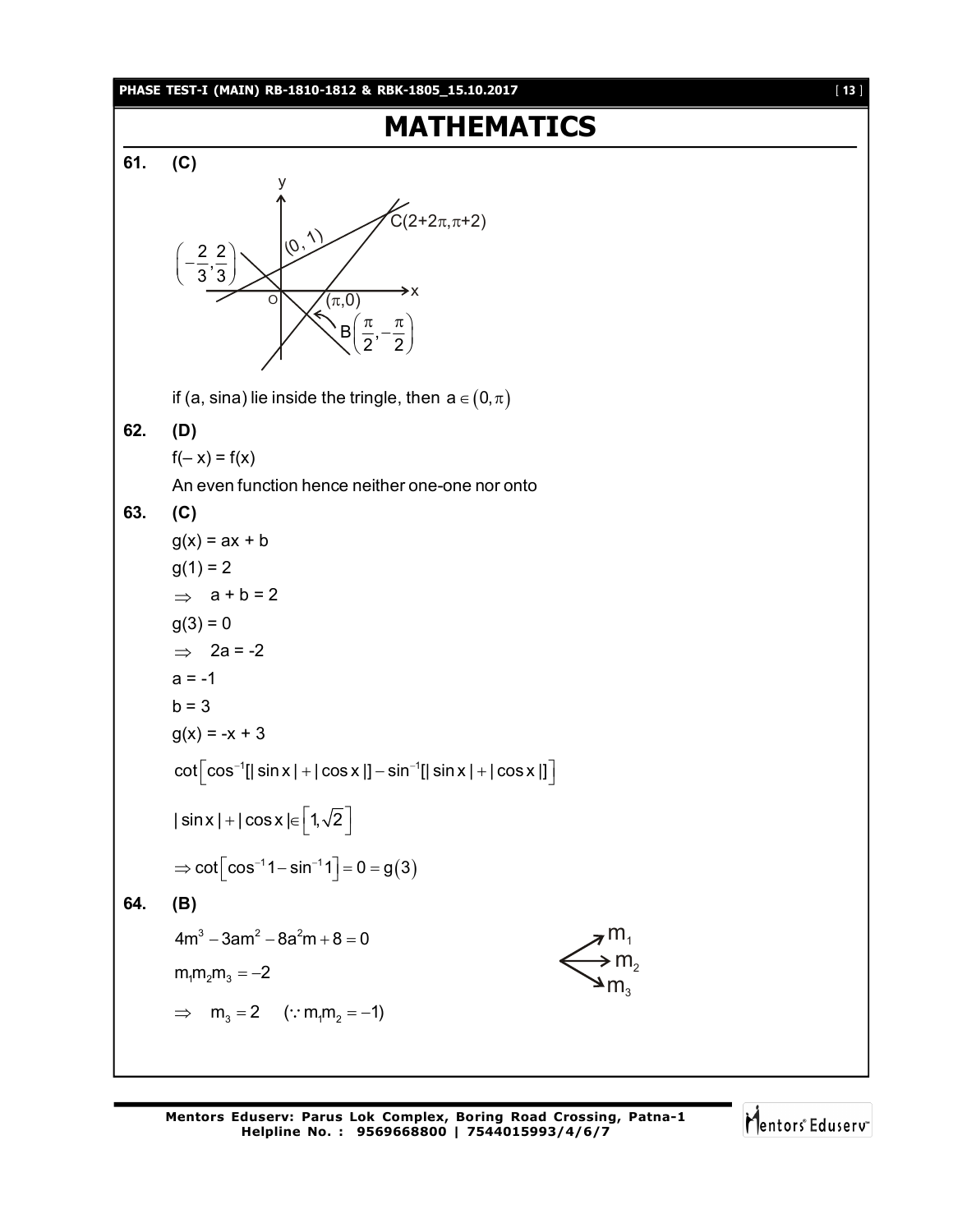#### **PHASE TEST-I (MAIN) RB-1810-1812 & RBK-1805\_15.10.2017** [ **13** ]

# **MATHEMATICS 61. (C)** O x y  $(\rho, \rho)$  $\widetilde{C}(2+2\pi,\pi+2)$  $(\pi,0)$  $B \mid \frac{\pi}{6},$  $2^{7}$  2  $\left(\frac{\pi}{2},-\frac{\pi}{2}\right)$  $\frac{2}{2}$ ,  $\frac{2}{3}$  $3^{\degree}3$  $\left(-\frac{2}{3},\frac{2}{3}\right)$ if (a, sina) lie inside the tringle, then  $a \in (0, \pi)$ **62. (D)**  $f(-x) = f(x)$ An even function hence neither one-one nor onto **63. (C)**  $g(x) = ax + b$  $g(1) = 2$  $\Rightarrow$  a + b = 2  $g(3) = 0$  $\Rightarrow$  2a = -2  $a = -1$  $b = 3$  $g(x) = -x + 3$  $\cot \left[\cos^{-1}[|\sin x| + |\cos x|] - \sin^{-1}[|\sin x| + |\cos x|]\right]$ | sin x | + | cos x |  $\in$   $\left[1,\sqrt{2}\right]$ ⇒  $cot\left[cos^{-1}1 - sin^{-1}1\right] = 0 = g(3)$ **64. (B)**  $4m^3 - 3am^2 - 8a^2m + 8 = 0$  $m<sub>2</sub>$  $m<sub>3</sub>$  $m_1 m_2 m_3 = -2$  $\implies$   $m_3 = 2$  (:  $m_4 m_2 = -1$ )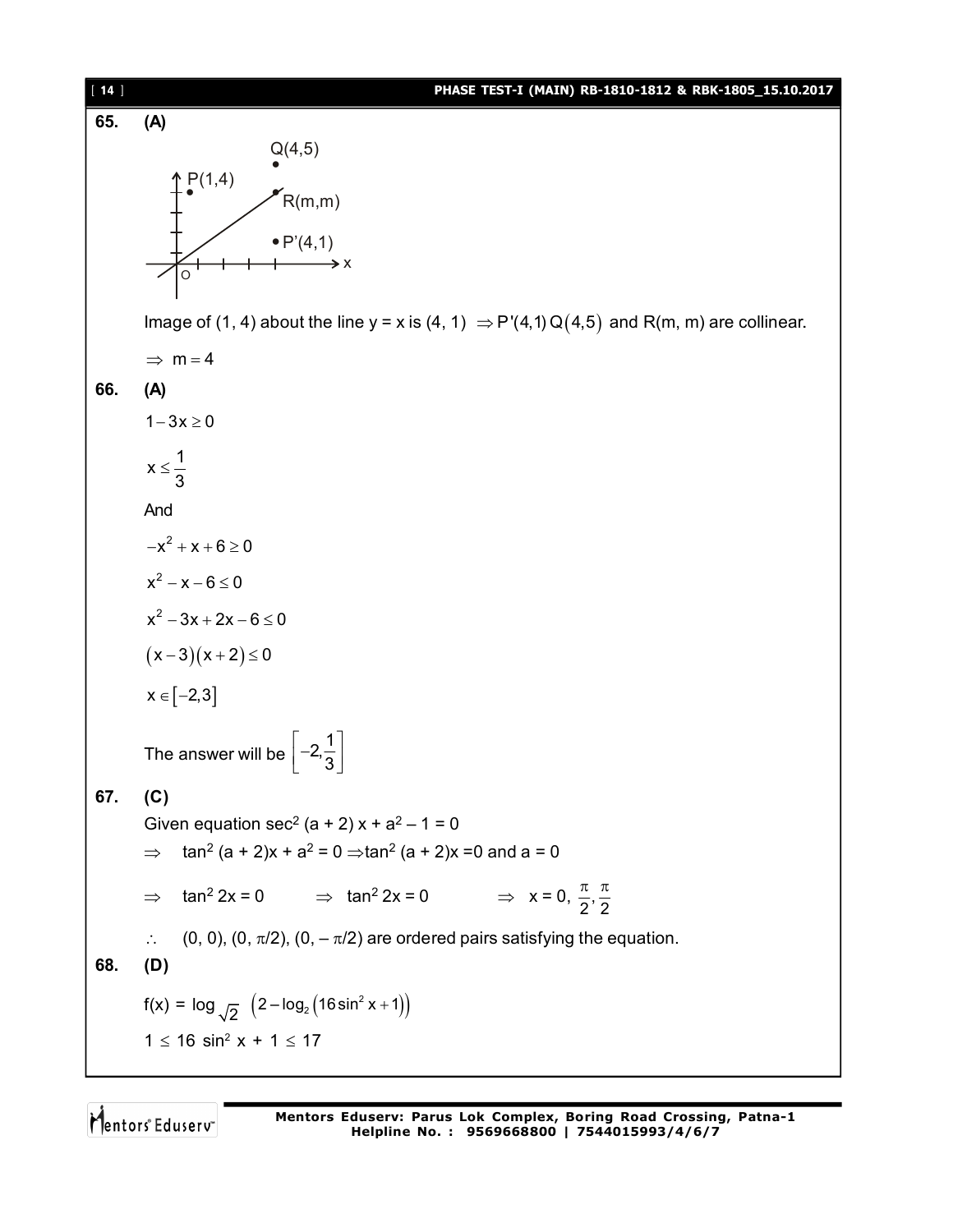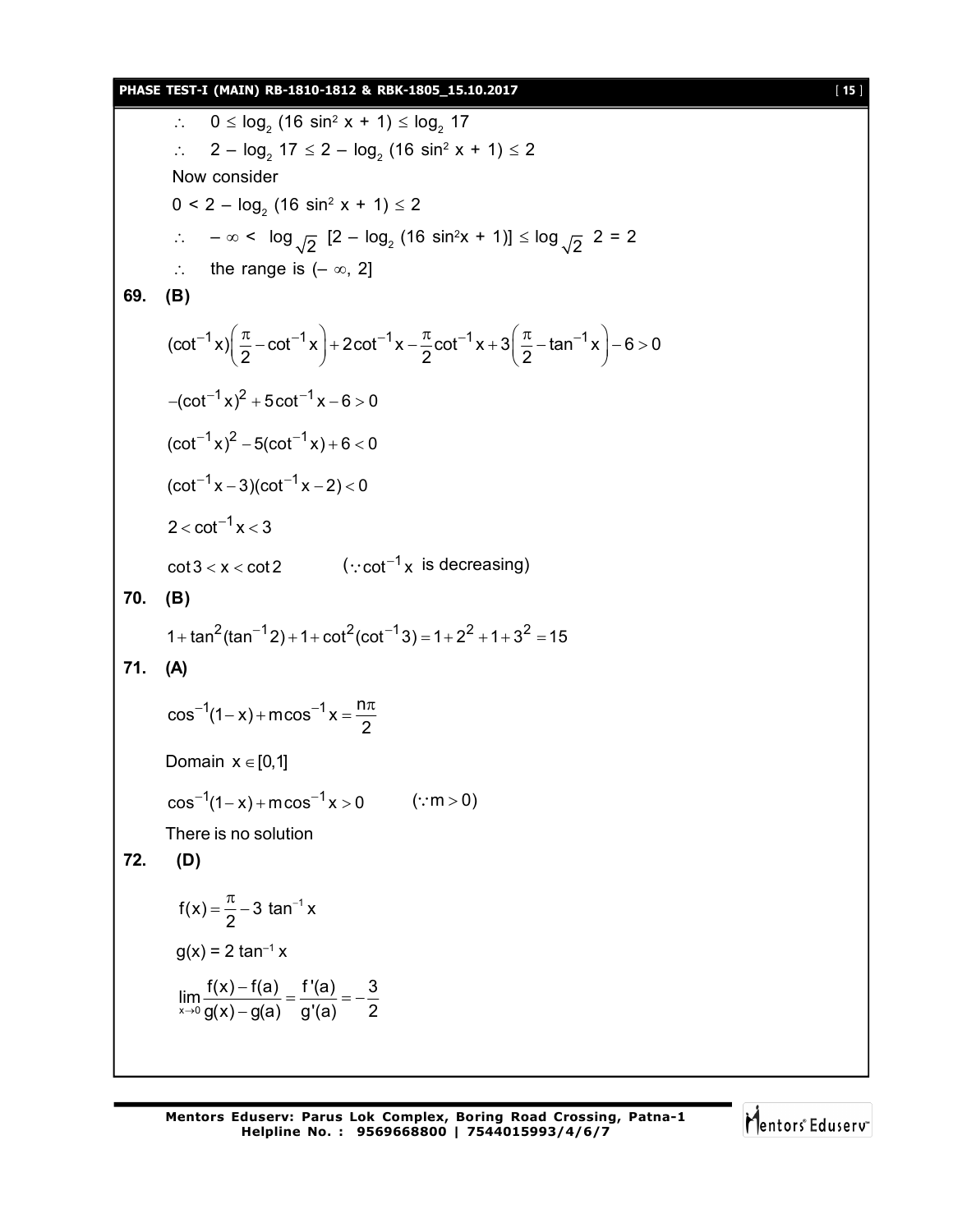#### **PHASE TEST-I (MAIN) RB-1810-1812 & RBK-1805\_15.10.2017** [ **15** ]

```
∴  0 ≤ log_2 (16 sin<sup>2</sup> x + 1) ≤ log_2 17
          ∴ 2 – log_2 17 \le 2 - log_2 (16 sin^2 x + 1) \le 2Now consider
          0 < 2 - \log_2(16 \sin^2 x + 1) \le 2∴ -\infty < \log_{\sqrt{2}} [2 – \log_2 (16 sin<sup>2</sup>x + 1)] ≤ \log_{\sqrt{2}} 2 = 2
         \therefore the range is (-\infty, 2]69. (B)
         \left| \cot^{-1} x \right| \frac{\pi}{6} - \cot^{-1} x \left| + 2 \cot^{-1} x - \frac{\pi}{6} \cot^{-1} x + 3 \left| \frac{\pi}{6} - \tan^{-1} x \right| - 6 > 02 2 2
              e^{-1} x) \left(\frac{\pi}{2}-\cot^{-1} x\right)+2\cot^{-1} x-\frac{\pi}{2}\cot^{-1} x+3\left(\frac{\pi}{2}-\tan^{-1} x\right)-6>0-(\cot^{-1} x)^2 + 5\cot^{-1} x - 6 > 0(cot^{-1}x)^2 - 5(cot^{-1}x) + 6 < 0(cot^{-1}x - 3)(cot^{-1}x - 2) < 02 < \cot^{-1} x < 3\cot\!3 < x < \cot 2 (\because \cot^{-1}\!x) is decreasing)
70. (B)
        1 + \tan^2(\tan^{-1}2) + 1 + \cot^2(\cot^{-1}3) = 1 + 2^2 + 1 + 3^2 = 1571. (A)
         \cos^{-1}(1-x) + \arccos^{-1}x = \frac{n}{2}2
              ^{-1}(1-x) + m\cos^{-1} x = \frac{n\pi}{2}Domain x \in [0,1]1 1 cos (1 x) mcos x 0      ( m 0)  
        There is no solution
72. (D)
           f(x) = \frac{\pi}{6} - 3 \tan^{-1} x2
                 =\frac{\pi}{2}-3 \tan^{-1}g(x) = 2 \tan^{-1} x\lim_{x\to 0} \frac{f(x)-f(a)}{g(x)-g(a)} = \frac{f'(a)}{g'(a)} = -\frac{3}{2}-
```
Mentors Eduserv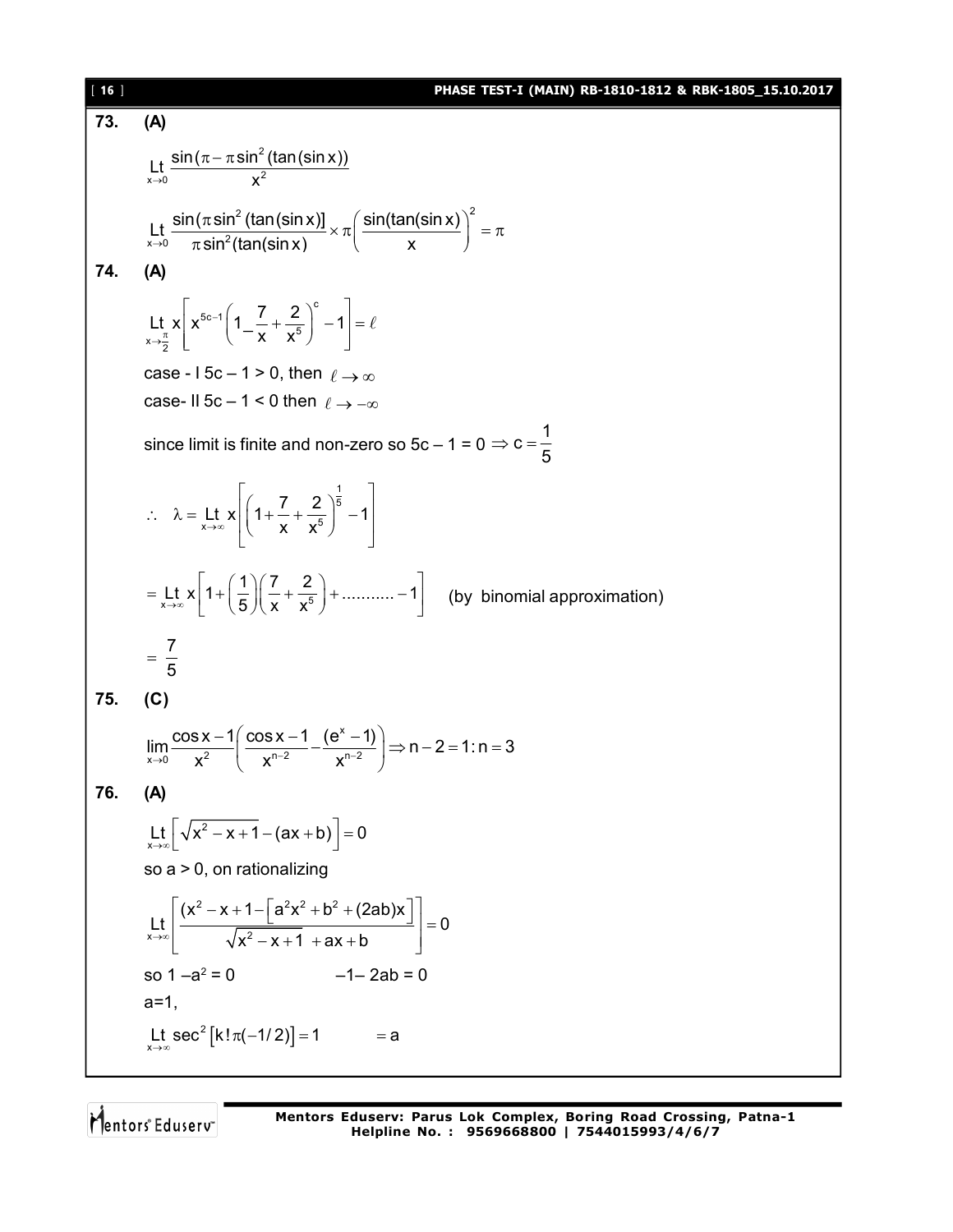[ **16** ] **PHASE TEST-I (MAIN) RB-1810-1812 & RBK-1805\_15.10.2017 73. (A)** 2 Lt  $\frac{\sin (\pi-\pi\sin^2(\tan(\sin x)))}{x^2}$  $\rightarrow$  0 X  $\pi - \pi$  S  $^{2}$  (top (cin v)] (cin(top(cin v))<sup>2</sup> Lt  $\frac{\textsf{sin}(\pi\,\textsf{sin}^2\,(\textsf{tan}(\textsf{sin}\,x))}{\pi\,\textsf{sin}^2(\textsf{tan}(\textsf{sin}\,x))} \times \pi\left(\frac{\textsf{sin}(\textsf{tan}(\textsf{sin}\,x))}{x}\right)$  $\rightarrow$ <sup>0</sup>  $\pi$ sin $\pi$ (tan(sin $x$ ) ( x  $\frac{n(\pi \sin^2{(tan(sin x))}}{\pi \sin^2(tan(sin x))} \times \pi\left(\frac{\sin(tan(sin x))}{x}\right)^2 = \pi$ **74. (A)** c  $5c - 1$  $\sum_{x \to \frac{\pi}{2}}^{\infty}$   $\binom{1 - x}{x} x^5$ Lt x  $x^{\frac{5c-1}{1}} \left( 1 - \frac{7}{1} + \frac{2}{5} \right)^{c} - 1$ x x ÷ Lt  $x\left[x^{5c-1}\left(1-\frac{7}{x}+\frac{2}{x^5}\right)^c-1\right]=1$  $\ell$ case - I 5c – 1 > 0, then  $\ell \to \infty$ case- II 5c – 1 < 0 then  $\ell \rightarrow -\infty$ since limit is finite and non-zero so 5c – 1 = 0  $c = \frac{1}{5}$ 5  $\Rightarrow$  C = -1 5 Lt  $x = \left| \left( 1 + \frac{7}{x} + \frac{2}{x^5} \right)^5 - 1 \right|$  $\rightarrow \infty$   $\begin{matrix} \cdot & x & x \end{matrix}$  $\therefore \quad \lambda = \underset{x \to \infty}{\text{lt}} x \left[ \left( 1 + \frac{7}{x} + \frac{2}{x^5} \right)^{\frac{1}{5}} - 1 \right]$ Lt x  $1 + \left(\frac{1}{5}\right)\left(\frac{7}{x} + \frac{2}{x^5}\right) + \dots + 1$  $\rightarrow \infty$  |  $(5)(x \cdot x)$  $=\mathsf{L} t \mathbf{x} \left[1+\left(\frac{1}{5}\right)\left(\frac{7}{x}+\frac{2}{x^5}\right)+\dots+\left(-1\right)\right]$  (by binomial approximation) 7 5  $=$ **75. (C)** x  $\lim_{x\to 0} \frac{\cos x - 1}{x^2} \left( \frac{\cos x - 1}{x^{n-2}} - \frac{(e^x - 1)}{x^{n-2}} \right) \Rightarrow n - 2 = 1 : n = 3$  $\lim_{x \to 0} \frac{\cos x - 1}{x^2} \left( \frac{\cos x - 1}{x^{n-2}} - \frac{(e^x - 1)}{x^{n-2}} \right) \Rightarrow n - 2 = 1 : n = 3$  $\begin{pmatrix} x^{n} & x^{n} \end{pmatrix}$ **76. (A)** 2  $L_{\mathsf{x} \to \infty}$   $\left[ \sqrt{x^2 - x + 1} - (ax + b) \right] = 0$ so a > 0, on rationalizing  $2 \times 1$   $a^2x^2 + b^2$  $x \rightarrow \infty$   $\sqrt{x^2}$  $(x^2 - x + 1 - |a^2x^2 + b^2 + (2ab)x$ Lt  $\left| \frac{L}{1 - L} \right| = 0$  $\rightarrow \infty$   $\sqrt{x^2-x+1}$  + ax + b  $\left[\frac{(x^2-x+1-[a^2x^2+b^2+(2ab)x]}{1-ax} \right]$  =  $\begin{bmatrix} \sqrt{x^2-x+1} + ax + b \end{bmatrix}$ so  $1 - a^2 = 0$  $-1- 2ab = 0$  $a=1$ .  $2\left[k!\pi(-1/2)\right]$ Lt sec<sup>2</sup> [k!  $\pi$ (-1/2)] = 1 = a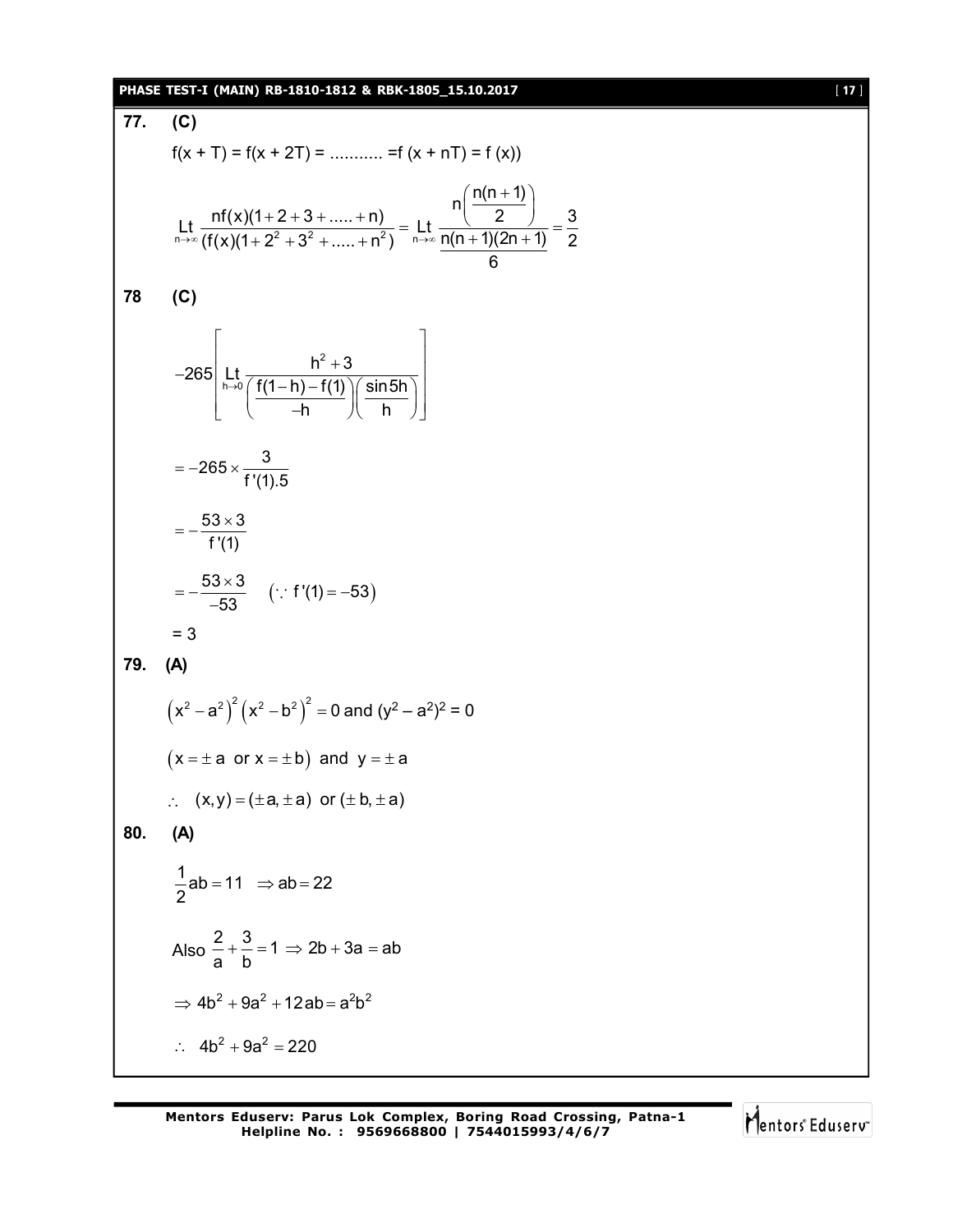#### **PHASE TEST-I (MAIN) RB-1810-1812 & RBK-1805\_15.10.2017** [ **17** ]

**77. (C)**  $f(x + T) = f(x + 2T) =$  ............ = f  $(x + nT) = f (x)$  $\lim_{n \to \infty}$  (f(x)(1+2<sup>2</sup> + 3<sup>2</sup> + .... + n<sup>2</sup>) n  $n\left(\frac{n(n+1)}{2}\right)$ Lt  $\frac{nf(x)(1+2+3+....+n)}{f(x)(1+2^2+3^2+....+n^2)} = \frac{1}{n} \frac{1}{n(n+1)(2n+1)} = \frac{3}{2}$ 6  $(n(n+1))$  $\frac{(1+2+3+....+n)}{n+2^2+3^2+.....+n^2} = \text{Lt} \frac{n \left(\frac{n}{2}\right)}{n(n+1)(2n+1)} = \frac{2}{3}$ **78 (C)** 2  $265\left| \mathop{\rm Lt}\limits_{\mathsf{h}\rightarrow 0}\frac{\mathsf{h}^{2}+3}{\int \mathsf{f}(\mathsf{1}-\mathsf{h})-\mathsf{f}(\mathsf{1})\big)\right|\sin5\mathsf{h}}\right|$ h 八 h  $\rightarrow$ in the company of the company of the  $-265\left[\begin{array}{c} h^2 + 3 \\ h \rightarrow 0 \overline{\left(\frac{f(1-h)-f(1)}{-h}\right)\left(\frac{\sin 5h}{h}\right)} \end{array}\right]$  $265 \times \frac{3}{111}$ f '(1).5  $=-265 \times 53 \times 3$ f '(1)  $=-\frac{53\times}{100}$  $\frac{53 \times 3}{52}$  (: f'(1) = -53) 53  $=-\frac{53\times3}{52}$   $(\because f'(1)=-5)$  $\overline{\phantom{a}}$  $\cdot$ . = 3 **79. (A)**  $(x^2 - a^2)^2 (x^2 - b^2)^2 = 0$  and  $(y^2 - a^2)^2 = 0$  $(x = \pm a \text{ or } x = \pm b)$  and  $y = \pm a$  $(x, y) = (\pm a, \pm a)$  or  $(\pm b, \pm a)$ **80. (A)**  $\frac{1}{6}$ ab = 11  $\Rightarrow$  ab = 22 2  $=11 \Rightarrow ab=2$ Also  $\frac{2}{3} + \frac{3}{4} = 1 \Rightarrow 2b + 3a = ab$ a b  $+\frac{6}{1}$  = 1  $\Rightarrow$  2b + 3a = a  $\Rightarrow$  4b<sup>2</sup> + 9a<sup>2</sup> + 12ab = a<sup>2</sup>b<sup>2</sup>  $\therefore$  4b<sup>2</sup> + 9a<sup>2</sup> = 220

Mentors Eduserv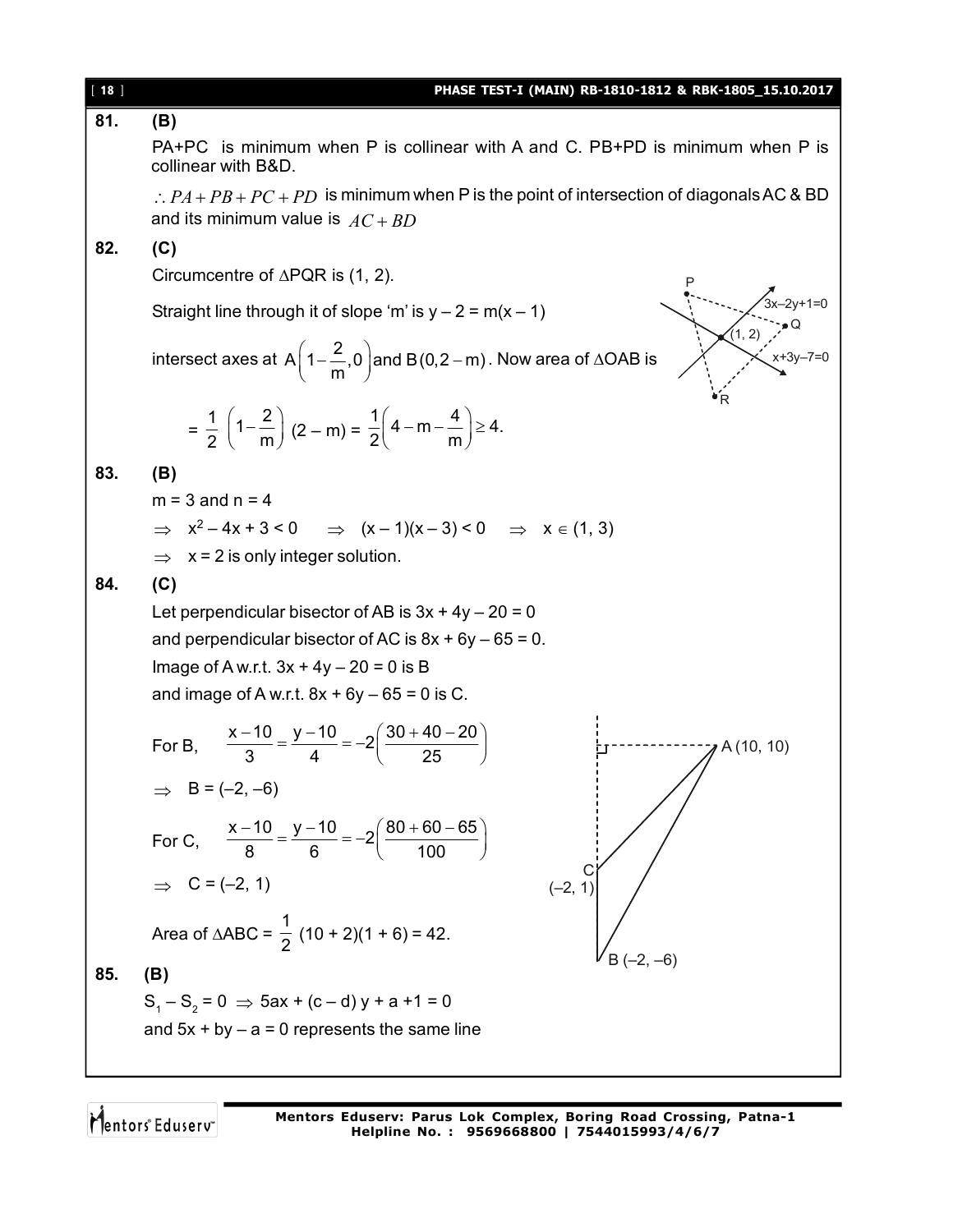| $[ 18 ]$ | PHASE TEST-I (MAIN) RB-1810-1812 & RBK-1805_15.10.2017                                                                                   |
|----------|------------------------------------------------------------------------------------------------------------------------------------------|
| 81.      | (B)                                                                                                                                      |
|          | PA+PC is minimum when P is collinear with A and C. PB+PD is minimum when P is<br>collinear with B&D.                                     |
|          | $\therefore PA + PB + PC + PD$ is minimum when P is the point of intersection of diagonals AC & BD<br>and its minimum value is $AC + BD$ |
| 82.      | (C)                                                                                                                                      |
|          | Circumcentre of $\triangle PQR$ is (1, 2).<br>$3x - 2y + 1 = 0$                                                                          |
|          | Straight line through it of slope 'm' is $y - 2 = m(x - 1)$                                                                              |
|          | (1, 2)<br>intersect axes at A $\left(1-\frac{2}{m},0\right)$ and B(0,2 – m). Now area of $\triangle$ OAB is                              |
|          | $=\frac{1}{2}\left(1-\frac{2}{m}\right)(2-m)=\frac{1}{2}\left(4-m-\frac{4}{m}\right)\geq 4.$                                             |
| 83.      | (B)                                                                                                                                      |
|          | $m = 3$ and $n = 4$                                                                                                                      |
|          | $\Rightarrow$ $x^2 - 4x + 3 < 0$ $\Rightarrow$ $(x - 1)(x - 3) < 0$ $\Rightarrow$ $x \in (1, 3)$                                         |
|          | $\Rightarrow$ x = 2 is only integer solution.                                                                                            |
| 84.      | (C)                                                                                                                                      |
|          | Let perpendicular bisector of AB is $3x + 4y - 20 = 0$                                                                                   |
|          | and perpendicular bisector of AC is $8x + 6y - 65 = 0$ .                                                                                 |
|          | Image of A w.r.t. $3x + 4y - 20 = 0$ is B                                                                                                |
|          | and image of A w.r.t. $8x + 6y - 65 = 0$ is C.                                                                                           |
|          | For B, $\frac{x-10}{3} = \frac{y-10}{4} = -2\left(\frac{30+40-20}{25}\right)$<br>A (10, 10)                                              |
|          | $\Rightarrow$ B = (-2, -6)                                                                                                               |
|          | For C, $\frac{x-10}{8} = \frac{y-10}{6} = -2\left(\frac{80+60-65}{100}\right)$                                                           |
|          | $\Rightarrow$ C = (-2, 1)<br>$(-2, 1)$                                                                                                   |
|          | Area of $\triangle ABC = \frac{1}{2} (10 + 2)(1 + 6) = 42.$                                                                              |
| 85.      | (B)                                                                                                                                      |
|          | $S_1 - S_2 = 0 \Rightarrow 5ax + (c - d)y + a + 1 = 0$                                                                                   |
|          | and $5x + by - a = 0$ represents the same line                                                                                           |
|          |                                                                                                                                          |

Mentors<sup>e</sup> Eduserv<sup>-</sup>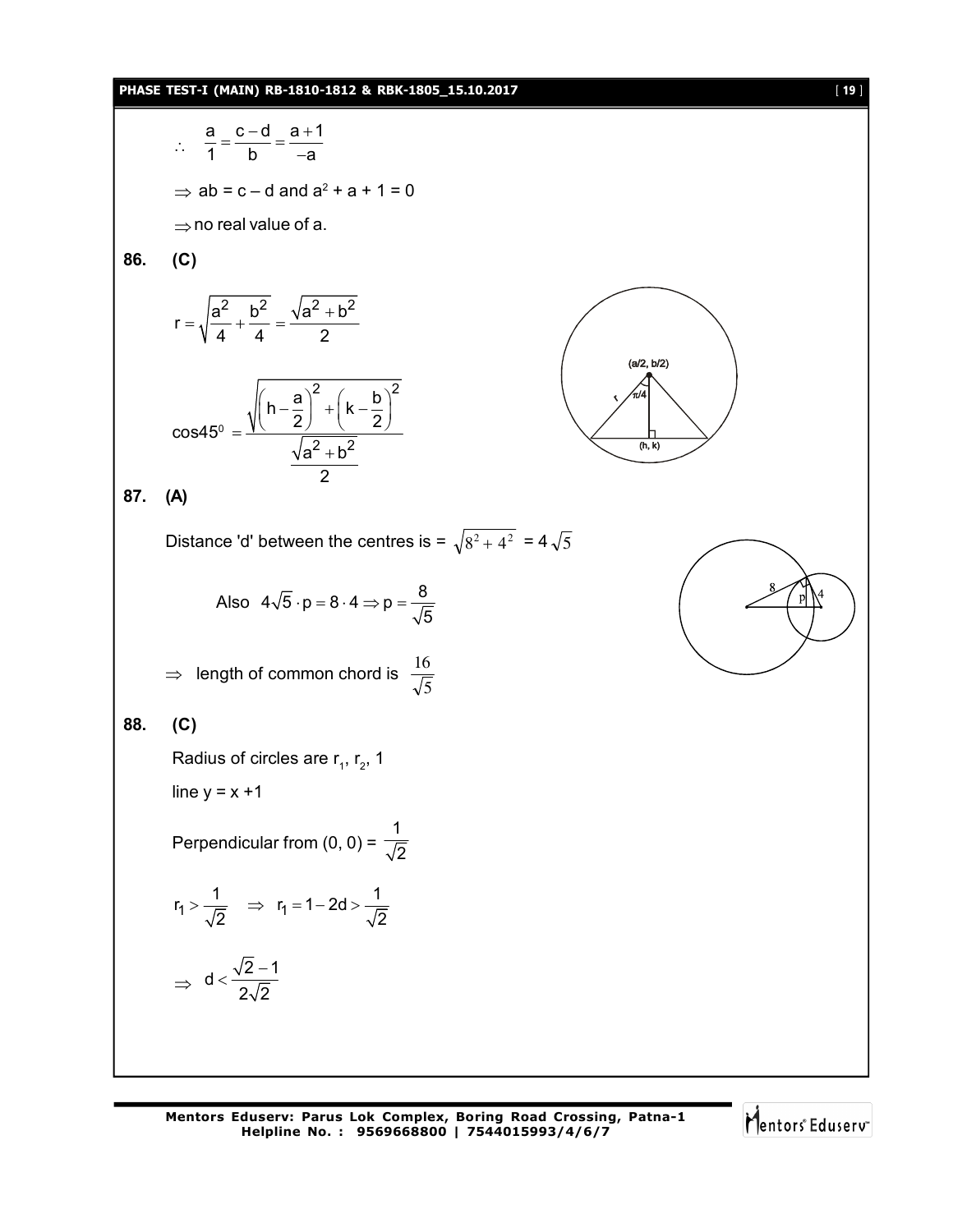#### **PHASE TEST-I (MAIN) RB-1810-1812 & RBK-1805\_15.10.2017** [ **19** ]

$$
\frac{a}{1} = \frac{c-d}{b} = \frac{a+1}{-a}
$$
  
\n⇒ ab = c - d and a<sup>2</sup> + a + 1 = 0  
\n⇒ no real value of a.  
\n86. (C)  
\n
$$
r = \sqrt{\frac{a^2}{4} + \frac{b^2}{4}} = \frac{\sqrt{a^2 + b^2}}{2}
$$
\n
$$
\cos 45^\circ = \frac{\sqrt{(h-\frac{a}{2})^2 + (k-\frac{b}{2})^2}}{\sqrt{a^2 + b^2}}
$$
\n87. (A)  
\nDistance 'd' between the centres is =  $\sqrt{s^2 + 4^2}$  = 4 $\sqrt{5}$   
\nAlso 4 $\sqrt{5} \cdot p = 8 \cdot 4 \Rightarrow p = \frac{8}{\sqrt{5}}$   
\n⇒ length of common chord is  $\frac{16}{\sqrt{5}}$   
\n88. (C)  
\nRadius of circles are r<sub>1</sub>, r<sub>2</sub>, 1  
\nline y = x + 1  
\nPerpendicular from (0, 0) =  $\frac{1}{\sqrt{2}}$   
\n
$$
r_1 > \frac{1}{\sqrt{2}} \Rightarrow r_1 = 1 - 2d > \frac{1}{\sqrt{2}}
$$
\n
$$
\Rightarrow d < \frac{\sqrt{2}-1}{2\sqrt{2}}
$$

Mentors<sup>e</sup> Eduserv<sup>-</sup>